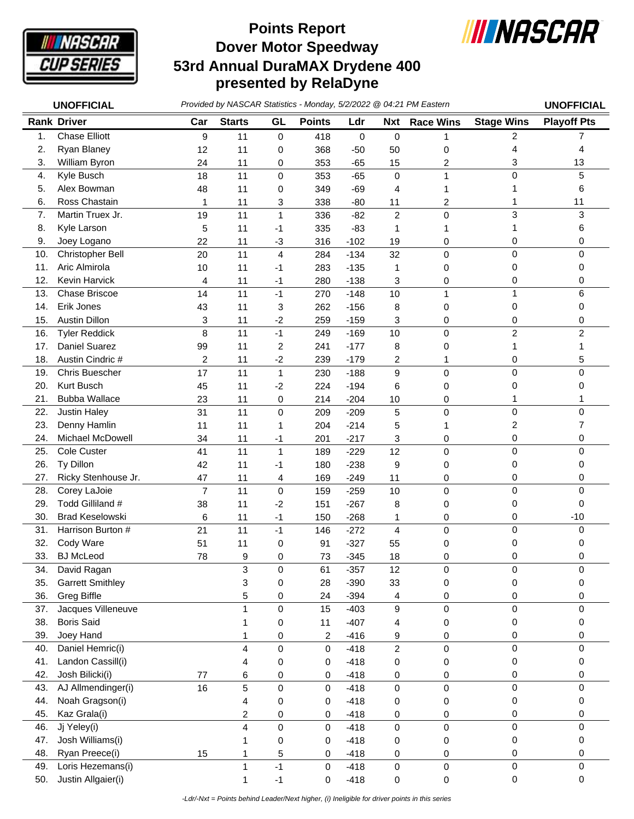

## **Dover Motor Speedway 53rd Annual DuraMAX Drydene 400 presented by RelaDyne Points Report**



|     | <b>UNOFFICIAL</b>       |     | Provided by NASCAR Statistics - Monday, 5/2/2022 @ 04:21 PM Eastern |                  |               |             |                |                  |                   | <b>UNOFFICIAL</b>  |
|-----|-------------------------|-----|---------------------------------------------------------------------|------------------|---------------|-------------|----------------|------------------|-------------------|--------------------|
|     | <b>Rank Driver</b>      | Car | <b>Starts</b>                                                       | GL               | <b>Points</b> | Ldr         | <b>Nxt</b>     | <b>Race Wins</b> | <b>Stage Wins</b> | <b>Playoff Pts</b> |
| 1.  | <b>Chase Elliott</b>    | 9   | 11                                                                  | $\boldsymbol{0}$ | 418           | $\mathbf 0$ | $\mathbf 0$    |                  | 2                 | 7                  |
| 2.  | Ryan Blaney             | 12  | 11                                                                  | 0                | 368           | $-50$       | 50             | 0                | 4                 | 4                  |
| 3.  | William Byron           | 24  | 11                                                                  | 0                | 353           | $-65$       | 15             | 2                | 3                 | 13                 |
| 4.  | Kyle Busch              | 18  | 11                                                                  | 0                | 353           | $-65$       | $\pmb{0}$      |                  | 0                 | 5                  |
| 5.  | Alex Bowman             | 48  | 11                                                                  | 0                | 349           | $-69$       | 4              |                  | 1                 | 6                  |
| 6.  | Ross Chastain           | 1   | 11                                                                  | 3                | 338           | $-80$       | 11             | 2                |                   | 11                 |
| 7.  | Martin Truex Jr.        | 19  | 11                                                                  | $\mathbf{1}$     | 336           | $-82$       | $\overline{c}$ | $\mathsf 0$      | 3                 | 3                  |
| 8.  | Kyle Larson             | 5   | 11                                                                  | -1               | 335           | $-83$       | 1              | 1                |                   | 6                  |
| 9.  | Joey Logano             | 22  | 11                                                                  | $-3$             | 316           | $-102$      | 19             | 0                | 0                 | 0                  |
| 10. | Christopher Bell        | 20  | 11                                                                  | $\overline{4}$   | 284           | $-134$      | 32             | 0                | 0                 | 0                  |
| 11. | Aric Almirola           | 10  | 11                                                                  | -1               | 283           | $-135$      | $\mathbf{1}$   | 0                | 0                 | 0                  |
| 12. | Kevin Harvick           | 4   | 11                                                                  | $-1$             | 280           | $-138$      | 3              | 0                | 0                 | 0                  |
| 13. | Chase Briscoe           | 14  | 11                                                                  | $-1$             | 270           | $-148$      | 10             | 1                | 1                 | 6                  |
| 14. | Erik Jones              | 43  | 11                                                                  | 3                | 262           | $-156$      | 8              | 0                | 0                 | 0                  |
| 15. | <b>Austin Dillon</b>    | 3   | 11                                                                  | $-2$             | 259           | $-159$      | 3              | 0                | 0                 | 0                  |
| 16. | <b>Tyler Reddick</b>    | 8   | 11                                                                  | $-1$             | 249           | $-169$      | 10             | $\mathsf 0$      | $\overline{c}$    | $\overline{c}$     |
| 17. | Daniel Suarez           | 99  | 11                                                                  | $\overline{2}$   | 241           | $-177$      | 8              | 0                | 1                 | 1                  |
| 18. | Austin Cindric #        | 2   | 11                                                                  | $-2$             | 239           | $-179$      | 2              | 1                | 0                 | 5                  |
| 19. | <b>Chris Buescher</b>   | 17  | 11                                                                  | $\mathbf{1}$     | 230           | $-188$      | 9              | $\mathbf 0$      | 0                 | $\mathbf 0$        |
| 20. | Kurt Busch              | 45  | 11                                                                  | $-2$             | 224           | $-194$      | 6              | 0                | 0                 | 0                  |
| 21. | <b>Bubba Wallace</b>    | 23  | 11                                                                  | 0                | 214           | $-204$      | 10             | 0                | 1                 |                    |
| 22. | <b>Justin Haley</b>     | 31  | 11                                                                  | $\pmb{0}$        | 209           | $-209$      | $\sqrt{5}$     | $\mathsf 0$      | 0                 | $\mathbf 0$        |
| 23. | Denny Hamlin            | 11  | 11                                                                  | 1                | 204           | $-214$      | 5              |                  | 2                 | 7                  |
| 24. | Michael McDowell        | 34  | 11                                                                  | $-1$             | 201           | $-217$      | 3              | 0                | 0                 | 0                  |
| 25. | Cole Custer             | 41  | 11                                                                  | $\mathbf{1}$     | 189           | $-229$      | 12             | 0                | 0                 | $\mathbf 0$        |
| 26. | Ty Dillon               | 42  | 11                                                                  | -1               | 180           | $-238$      | 9              | 0                | 0                 | 0                  |
| 27. | Ricky Stenhouse Jr.     | 47  | 11                                                                  | 4                | 169           | $-249$      | 11             | $\pmb{0}$        | 0                 | 0                  |
| 28. | Corey LaJoie            | 7   | 11                                                                  | $\mathbf 0$      | 159           | $-259$      | 10             | $\mathsf 0$      | 0                 | $\mathbf 0$        |
| 29. | Todd Gilliland #        | 38  | 11                                                                  | $-2$             | 151           | $-267$      | 8              | 0                | 0                 | 0                  |
| 30. | <b>Brad Keselowski</b>  | 6   | 11                                                                  | $-1$             | 150           | $-268$      | 1              | 0                | 0                 | $-10$              |
| 31. | Harrison Burton #       | 21  | 11                                                                  | $-1$             | 146           | $-272$      | $\overline{4}$ | 0                | 0                 | $\mathbf 0$        |
| 32. | Cody Ware               | 51  | 11                                                                  | 0                | 91            | $-327$      | 55             | 0                | 0                 | 0                  |
| 33. | <b>BJ</b> McLeod        | 78  | 9                                                                   | 0                | 73            | $-345$      | 18             | 0                | 0                 | 0                  |
| 34. | David Ragan             |     | 3                                                                   | 0                | 61            | $-357$      | 12             | $\pmb{0}$        | 0                 | 0                  |
| 35. | <b>Garrett Smithley</b> |     | 3                                                                   | 0                | 28            | $-390$      | 33             | $\pmb{0}$        | 0                 | 0                  |
| 36. | <b>Greg Biffle</b>      |     | 5                                                                   | 0                | 24            | $-394$      | 4              | 0                | 0                 | 0                  |
| 37. | Jacques Villeneuve      |     | 1                                                                   | 0                | 15            | $-403$      | 9              | 0                | 0                 | 0                  |
| 38. | <b>Boris Said</b>       |     |                                                                     | 0                | 11            | $-407$      | 4              | 0                | 0                 | 0                  |
| 39. | Joey Hand               |     | 1                                                                   | 0                | 2             | $-416$      | 9              | 0                | 0                 | 0                  |
| 40. | Daniel Hemric(i)        |     | 4                                                                   | 0                | 0             | $-418$      | $\overline{c}$ | 0                | 0                 | 0                  |
| 41. | Landon Cassill(i)       |     | 4                                                                   | 0                | 0             | $-418$      | 0              | 0                | 0                 | 0                  |
| 42. | Josh Bilicki(i)         | 77  | 6                                                                   | 0                | 0             | $-418$      | 0              | 0                | 0                 | 0                  |
| 43. | AJ Allmendinger(i)      | 16  | 5                                                                   | $\mathbf 0$      | 0             | $-418$      | $\pmb{0}$      | 0                | 0                 | $\Omega$           |
| 44. | Noah Gragson(i)         |     | 4                                                                   | 0                | 0             | $-418$      | 0              | 0                | 0                 | 0                  |
| 45. | Kaz Grala(i)            |     | $\overline{\mathbf{c}}$                                             | 0                | 0             | $-418$      | 0              | 0                | 0                 | 0                  |
| 46. | Jj Yeley(i)             |     | 4                                                                   | $\pmb{0}$        | 0             | $-418$      | $\pmb{0}$      | $\mathsf 0$      | 0                 | 0                  |
| 47. | Josh Williams(i)        |     | 1                                                                   | $\pmb{0}$        | 0             | $-418$      | 0              | 0                | 0                 | 0                  |
| 48. | Ryan Preece(i)          | 15  | 1                                                                   | 5                | 0             | $-418$      | 0              | 0                | 0                 | 0                  |
| 49. | Loris Hezemans(i)       |     | $\mathbf 1$                                                         | $-1$             | 0             | $-418$      | 0              | 0                | $\mathbf 0$       | $\mathbf 0$        |
| 50. | Justin Allgaier(i)      |     | 1                                                                   | $-1$             | 0             | $-418$      | 0              | 0                | 0                 | 0                  |